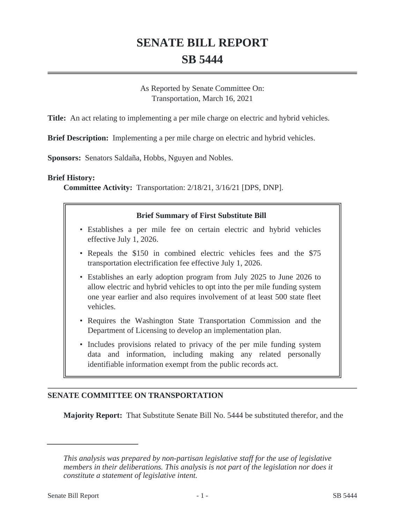# **SENATE BILL REPORT SB 5444**

As Reported by Senate Committee On: Transportation, March 16, 2021

**Title:** An act relating to implementing a per mile charge on electric and hybrid vehicles.

**Brief Description:** Implementing a per mile charge on electric and hybrid vehicles.

**Sponsors:** Senators Saldaña, Hobbs, Nguyen and Nobles.

### **Brief History:**

**Committee Activity:** Transportation: 2/18/21, 3/16/21 [DPS, DNP].

### **Brief Summary of First Substitute Bill**

- Establishes a per mile fee on certain electric and hybrid vehicles effective July 1, 2026.
- Repeals the \$150 in combined electric vehicles fees and the \$75 transportation electrification fee effective July 1, 2026.
- Establishes an early adoption program from July 2025 to June 2026 to allow electric and hybrid vehicles to opt into the per mile funding system one year earlier and also requires involvement of at least 500 state fleet vehicles.
- Requires the Washington State Transportation Commission and the Department of Licensing to develop an implementation plan.
- Includes provisions related to privacy of the per mile funding system data and information, including making any related personally identifiable information exempt from the public records act.

### **SENATE COMMITTEE ON TRANSPORTATION**

**Majority Report:** That Substitute Senate Bill No. 5444 be substituted therefor, and the

*This analysis was prepared by non-partisan legislative staff for the use of legislative members in their deliberations. This analysis is not part of the legislation nor does it constitute a statement of legislative intent.*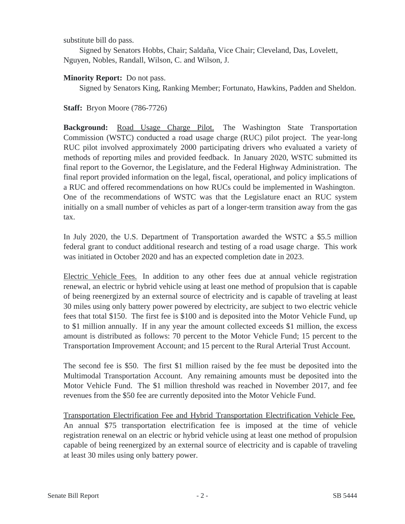substitute bill do pass.

Signed by Senators Hobbs, Chair; Saldaña, Vice Chair; Cleveland, Das, Lovelett, Nguyen, Nobles, Randall, Wilson, C. and Wilson, J.

## **Minority Report:** Do not pass.

Signed by Senators King, Ranking Member; Fortunato, Hawkins, Padden and Sheldon.

**Staff:** Bryon Moore (786-7726)

**Background:** Road Usage Charge Pilot. The Washington State Transportation Commission (WSTC) conducted a road usage charge (RUC) pilot project. The year-long RUC pilot involved approximately 2000 participating drivers who evaluated a variety of methods of reporting miles and provided feedback. In January 2020, WSTC submitted its final report to the Governor, the Legislature, and the Federal Highway Administration. The final report provided information on the legal, fiscal, operational, and policy implications of a RUC and offered recommendations on how RUCs could be implemented in Washington. One of the recommendations of WSTC was that the Legislature enact an RUC system initially on a small number of vehicles as part of a longer-term transition away from the gas tax.

In July 2020, the U.S. Department of Transportation awarded the WSTC a \$5.5 million federal grant to conduct additional research and testing of a road usage charge. This work was initiated in October 2020 and has an expected completion date in 2023.

Electric Vehicle Fees. In addition to any other fees due at annual vehicle registration renewal, an electric or hybrid vehicle using at least one method of propulsion that is capable of being reenergized by an external source of electricity and is capable of traveling at least 30 miles using only battery power powered by electricity, are subject to two electric vehicle fees that total \$150. The first fee is \$100 and is deposited into the Motor Vehicle Fund, up to \$1 million annually. If in any year the amount collected exceeds \$1 million, the excess amount is distributed as follows: 70 percent to the Motor Vehicle Fund; 15 percent to the Transportation Improvement Account; and 15 percent to the Rural Arterial Trust Account.

The second fee is \$50. The first \$1 million raised by the fee must be deposited into the Multimodal Transportation Account. Any remaining amounts must be deposited into the Motor Vehicle Fund. The \$1 million threshold was reached in November 2017, and fee revenues from the \$50 fee are currently deposited into the Motor Vehicle Fund.

Transportation Electrification Fee and Hybrid Transportation Electrification Vehicle Fee. An annual \$75 transportation electrification fee is imposed at the time of vehicle registration renewal on an electric or hybrid vehicle using at least one method of propulsion capable of being reenergized by an external source of electricity and is capable of traveling at least 30 miles using only battery power.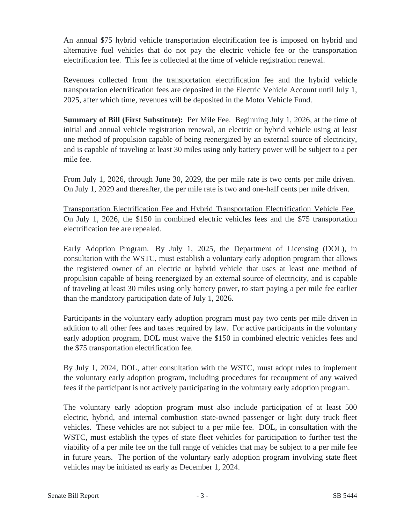An annual \$75 hybrid vehicle transportation electrification fee is imposed on hybrid and alternative fuel vehicles that do not pay the electric vehicle fee or the transportation electrification fee. This fee is collected at the time of vehicle registration renewal.

Revenues collected from the transportation electrification fee and the hybrid vehicle transportation electrification fees are deposited in the Electric Vehicle Account until July 1, 2025, after which time, revenues will be deposited in the Motor Vehicle Fund.

**Summary of Bill (First Substitute):** Per Mile Fee. Beginning July 1, 2026, at the time of initial and annual vehicle registration renewal, an electric or hybrid vehicle using at least one method of propulsion capable of being reenergized by an external source of electricity, and is capable of traveling at least 30 miles using only battery power will be subject to a per mile fee.

From July 1, 2026, through June 30, 2029, the per mile rate is two cents per mile driven. On July 1, 2029 and thereafter, the per mile rate is two and one-half cents per mile driven.

Transportation Electrification Fee and Hybrid Transportation Electrification Vehicle Fee. On July 1, 2026, the \$150 in combined electric vehicles fees and the \$75 transportation electrification fee are repealed.

Early Adoption Program. By July 1, 2025, the Department of Licensing (DOL), in consultation with the WSTC, must establish a voluntary early adoption program that allows the registered owner of an electric or hybrid vehicle that uses at least one method of propulsion capable of being reenergized by an external source of electricity, and is capable of traveling at least 30 miles using only battery power, to start paying a per mile fee earlier than the mandatory participation date of July 1, 2026.

Participants in the voluntary early adoption program must pay two cents per mile driven in addition to all other fees and taxes required by law. For active participants in the voluntary early adoption program, DOL must waive the \$150 in combined electric vehicles fees and the \$75 transportation electrification fee.

By July 1, 2024, DOL, after consultation with the WSTC, must adopt rules to implement the voluntary early adoption program, including procedures for recoupment of any waived fees if the participant is not actively participating in the voluntary early adoption program.

The voluntary early adoption program must also include participation of at least 500 electric, hybrid, and internal combustion state-owned passenger or light duty truck fleet vehicles. These vehicles are not subject to a per mile fee. DOL, in consultation with the WSTC, must establish the types of state fleet vehicles for participation to further test the viability of a per mile fee on the full range of vehicles that may be subject to a per mile fee in future years. The portion of the voluntary early adoption program involving state fleet vehicles may be initiated as early as December 1, 2024.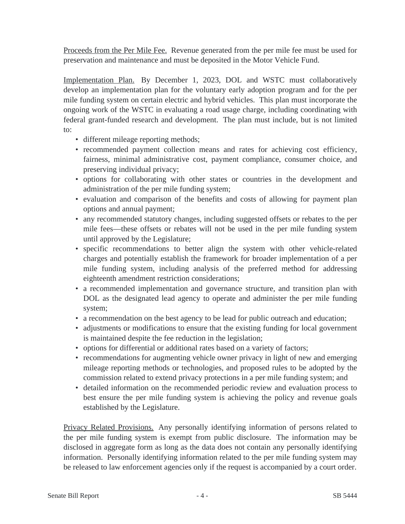Proceeds from the Per Mile Fee. Revenue generated from the per mile fee must be used for preservation and maintenance and must be deposited in the Motor Vehicle Fund.

Implementation Plan. By December 1, 2023, DOL and WSTC must collaboratively develop an implementation plan for the voluntary early adoption program and for the per mile funding system on certain electric and hybrid vehicles. This plan must incorporate the ongoing work of the WSTC in evaluating a road usage charge, including coordinating with federal grant-funded research and development. The plan must include, but is not limited to:

- different mileage reporting methods;
- recommended payment collection means and rates for achieving cost efficiency, fairness, minimal administrative cost, payment compliance, consumer choice, and preserving individual privacy;
- options for collaborating with other states or countries in the development and administration of the per mile funding system;
- evaluation and comparison of the benefits and costs of allowing for payment plan options and annual payment;
- any recommended statutory changes, including suggested offsets or rebates to the per mile fees—these offsets or rebates will not be used in the per mile funding system until approved by the Legislature;
- specific recommendations to better align the system with other vehicle-related charges and potentially establish the framework for broader implementation of a per mile funding system, including analysis of the preferred method for addressing eighteenth amendment restriction considerations;
- a recommended implementation and governance structure, and transition plan with DOL as the designated lead agency to operate and administer the per mile funding system;
- a recommendation on the best agency to be lead for public outreach and education;
- adjustments or modifications to ensure that the existing funding for local government is maintained despite the fee reduction in the legislation;
- options for differential or additional rates based on a variety of factors;
- recommendations for augmenting vehicle owner privacy in light of new and emerging mileage reporting methods or technologies, and proposed rules to be adopted by the commission related to extend privacy protections in a per mile funding system; and
- detailed information on the recommended periodic review and evaluation process to best ensure the per mile funding system is achieving the policy and revenue goals established by the Legislature.

Privacy Related Provisions. Any personally identifying information of persons related to the per mile funding system is exempt from public disclosure. The information may be disclosed in aggregate form as long as the data does not contain any personally identifying information. Personally identifying information related to the per mile funding system may be released to law enforcement agencies only if the request is accompanied by a court order.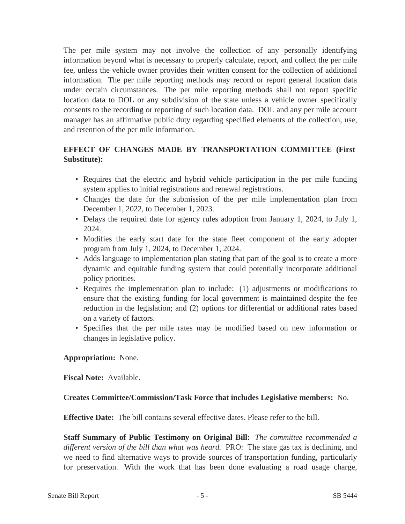The per mile system may not involve the collection of any personally identifying information beyond what is necessary to properly calculate, report, and collect the per mile fee, unless the vehicle owner provides their written consent for the collection of additional information. The per mile reporting methods may record or report general location data under certain circumstances. The per mile reporting methods shall not report specific location data to DOL or any subdivision of the state unless a vehicle owner specifically consents to the recording or reporting of such location data. DOL and any per mile account manager has an affirmative public duty regarding specified elements of the collection, use, and retention of the per mile information.

# **EFFECT OF CHANGES MADE BY TRANSPORTATION COMMITTEE (First Substitute):**

- Requires that the electric and hybrid vehicle participation in the per mile funding system applies to initial registrations and renewal registrations.
- Changes the date for the submission of the per mile implementation plan from December 1, 2022, to December 1, 2023.
- Delays the required date for agency rules adoption from January 1, 2024, to July 1, 2024.
- Modifies the early start date for the state fleet component of the early adopter program from July 1, 2024, to December 1, 2024.
- Adds language to implementation plan stating that part of the goal is to create a more dynamic and equitable funding system that could potentially incorporate additional policy priorities.
- Requires the implementation plan to include: (1) adjustments or modifications to ensure that the existing funding for local government is maintained despite the fee reduction in the legislation; and (2) options for differential or additional rates based on a variety of factors.
- Specifies that the per mile rates may be modified based on new information or changes in legislative policy.

## **Appropriation:** None.

**Fiscal Note:** Available.

## **Creates Committee/Commission/Task Force that includes Legislative members:** No.

**Effective Date:** The bill contains several effective dates. Please refer to the bill.

**Staff Summary of Public Testimony on Original Bill:** *The committee recommended a different version of the bill than what was heard.* PRO: The state gas tax is declining, and we need to find alternative ways to provide sources of transportation funding, particularly for preservation. With the work that has been done evaluating a road usage charge,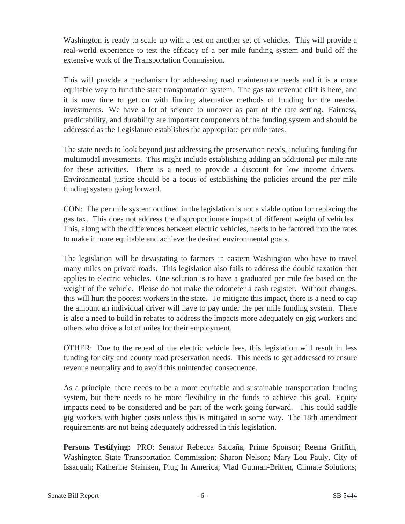Washington is ready to scale up with a test on another set of vehicles. This will provide a real-world experience to test the efficacy of a per mile funding system and build off the extensive work of the Transportation Commission.

This will provide a mechanism for addressing road maintenance needs and it is a more equitable way to fund the state transportation system. The gas tax revenue cliff is here, and it is now time to get on with finding alternative methods of funding for the needed investments. We have a lot of science to uncover as part of the rate setting. Fairness, predictability, and durability are important components of the funding system and should be addressed as the Legislature establishes the appropriate per mile rates.

The state needs to look beyond just addressing the preservation needs, including funding for multimodal investments. This might include establishing adding an additional per mile rate for these activities. There is a need to provide a discount for low income drivers. Environmental justice should be a focus of establishing the policies around the per mile funding system going forward.

CON: The per mile system outlined in the legislation is not a viable option for replacing the gas tax. This does not address the disproportionate impact of different weight of vehicles. This, along with the differences between electric vehicles, needs to be factored into the rates to make it more equitable and achieve the desired environmental goals.

The legislation will be devastating to farmers in eastern Washington who have to travel many miles on private roads. This legislation also fails to address the double taxation that applies to electric vehicles. One solution is to have a graduated per mile fee based on the weight of the vehicle. Please do not make the odometer a cash register. Without changes, this will hurt the poorest workers in the state. To mitigate this impact, there is a need to cap the amount an individual driver will have to pay under the per mile funding system. There is also a need to build in rebates to address the impacts more adequately on gig workers and others who drive a lot of miles for their employment.

OTHER: Due to the repeal of the electric vehicle fees, this legislation will result in less funding for city and county road preservation needs. This needs to get addressed to ensure revenue neutrality and to avoid this unintended consequence.

As a principle, there needs to be a more equitable and sustainable transportation funding system, but there needs to be more flexibility in the funds to achieve this goal. Equity impacts need to be considered and be part of the work going forward. This could saddle gig workers with higher costs unless this is mitigated in some way. The 18th amendment requirements are not being adequately addressed in this legislation.

**Persons Testifying:** PRO: Senator Rebecca Saldaña, Prime Sponsor; Reema Griffith, Washington State Transportation Commission; Sharon Nelson; Mary Lou Pauly, City of Issaquah; Katherine Stainken, Plug In America; Vlad Gutman-Britten, Climate Solutions;